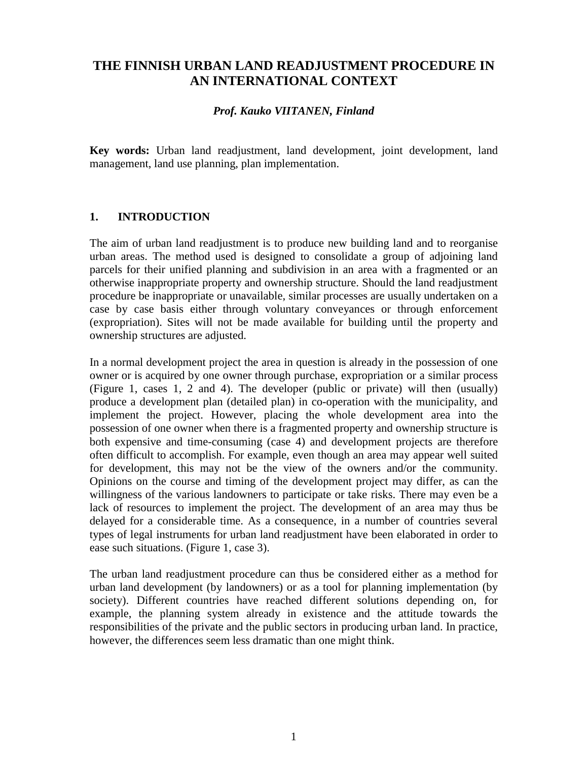# **THE FINNISH URBAN LAND READJUSTMENT PROCEDURE IN AN INTERNATIONAL CONTEXT**

#### *Prof. Kauko VIITANEN, Finland*

**Key words:** Urban land readjustment, land development, joint development, land management, land use planning, plan implementation.

# **1. INTRODUCTION**

The aim of urban land readjustment is to produce new building land and to reorganise urban areas. The method used is designed to consolidate a group of adjoining land parcels for their unified planning and subdivision in an area with a fragmented or an otherwise inappropriate property and ownership structure. Should the land readjustment procedure be inappropriate or unavailable, similar processes are usually undertaken on a case by case basis either through voluntary conveyances or through enforcement (expropriation). Sites will not be made available for building until the property and ownership structures are adjusted.

In a normal development project the area in question is already in the possession of one owner or is acquired by one owner through purchase, expropriation or a similar process (Figure 1, cases 1, 2 and 4). The developer (public or private) will then (usually) produce a development plan (detailed plan) in co-operation with the municipality, and implement the project. However, placing the whole development area into the possession of one owner when there is a fragmented property and ownership structure is both expensive and time-consuming (case 4) and development projects are therefore often difficult to accomplish. For example, even though an area may appear well suited for development, this may not be the view of the owners and/or the community. Opinions on the course and timing of the development project may differ, as can the willingness of the various landowners to participate or take risks. There may even be a lack of resources to implement the project. The development of an area may thus be delayed for a considerable time. As a consequence, in a number of countries several types of legal instruments for urban land readjustment have been elaborated in order to ease such situations. (Figure 1, case 3).

The urban land readjustment procedure can thus be considered either as a method for urban land development (by landowners) or as a tool for planning implementation (by society). Different countries have reached different solutions depending on, for example, the planning system already in existence and the attitude towards the responsibilities of the private and the public sectors in producing urban land. In practice, however, the differences seem less dramatic than one might think.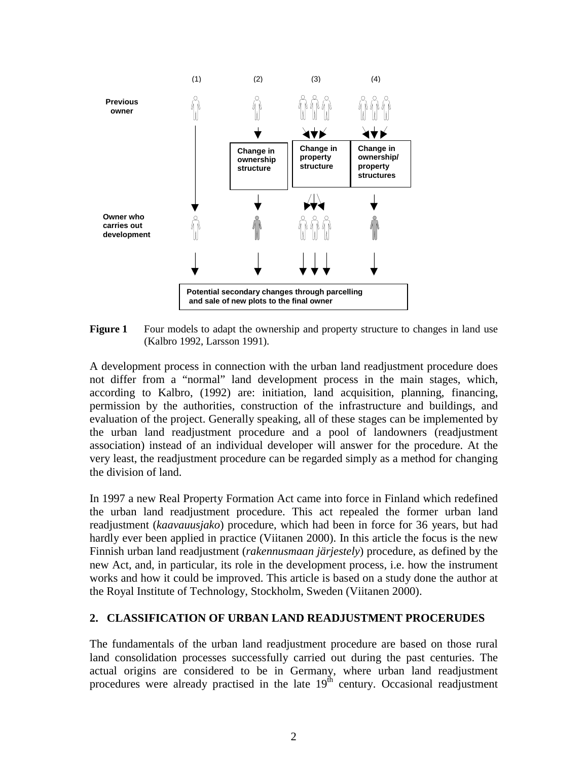

**Figure 1** Four models to adapt the ownership and property structure to changes in land use (Kalbro 1992, Larsson 1991).

A development process in connection with the urban land readjustment procedure does not differ from a "normal" land development process in the main stages, which, according to Kalbro, (1992) are: initiation, land acquisition, planning, financing, permission by the authorities, construction of the infrastructure and buildings, and evaluation of the project. Generally speaking, all of these stages can be implemented by the urban land readjustment procedure and a pool of landowners (readjustment association) instead of an individual developer will answer for the procedure. At the very least, the readjustment procedure can be regarded simply as a method for changing the division of land.

In 1997 a new Real Property Formation Act came into force in Finland which redefined the urban land readjustment procedure. This act repealed the former urban land readjustment (*kaavauusjako*) procedure, which had been in force for 36 years, but had hardly ever been applied in practice (Viitanen 2000). In this article the focus is the new Finnish urban land readjustment (*rakennusmaan järjestely*) procedure, as defined by the new Act, and, in particular, its role in the development process, i.e. how the instrument works and how it could be improved. This article is based on a study done the author at the Royal Institute of Technology, Stockholm, Sweden (Viitanen 2000).

#### **2. CLASSIFICATION OF URBAN LAND READJUSTMENT PROCERUDES**

The fundamentals of the urban land readjustment procedure are based on those rural land consolidation processes successfully carried out during the past centuries. The actual origins are considered to be in Germany, where urban land readjustment procedures were already practised in the late 19<sup>th</sup> century. Occasional readjustment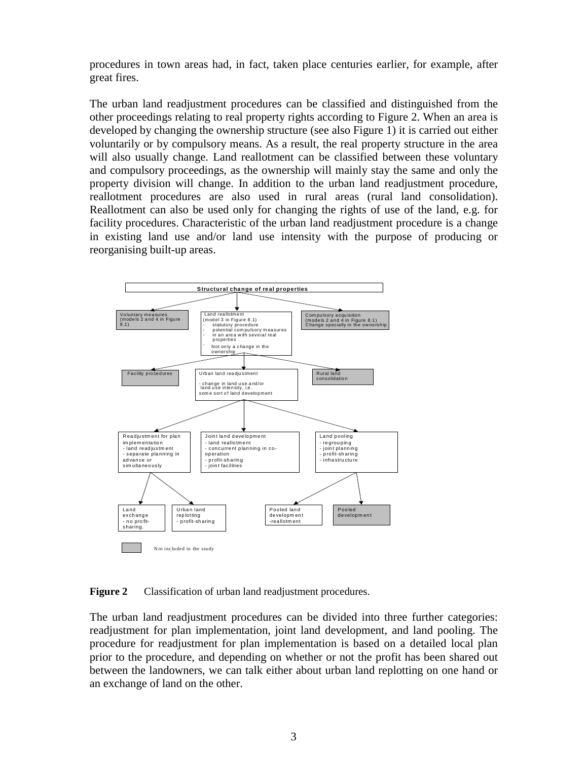procedures in town areas had, in fact, taken place centuries earlier, for example, after great fires.

The urban land readjustment procedures can be classified and distinguished from the other proceedings relating to real property rights according to Figure 2. When an area is developed by changing the ownership structure (see also Figure 1) it is carried out either voluntarily or by compulsory means. As a result, the real property structure in the area will also usually change. Land reallotment can be classified between these voluntary and compulsory proceedings, as the ownership will mainly stay the same and only the property division will change. In addition to the urban land readjustment procedure, reallotment procedures are also used in rural areas (rural land consolidation). Reallotment can also be used only for changing the rights of use of the land, e.g. for facility procedures. Characteristic of the urban land readjustment procedure is a change in existing land use and/or land use intensity with the purpose of producing or reorganising built-up areas.



**Figure 2** Classification of urban land readjustment procedures.

The urban land readjustment procedures can be divided into three further categories: readjustment for plan implementation, joint land development, and land pooling. The procedure for readjustment for plan implementation is based on a detailed local plan prior to the procedure, and depending on whether or not the profit has been shared out between the landowners, we can talk either about urban land replotting on one hand or an exchange of land on the other.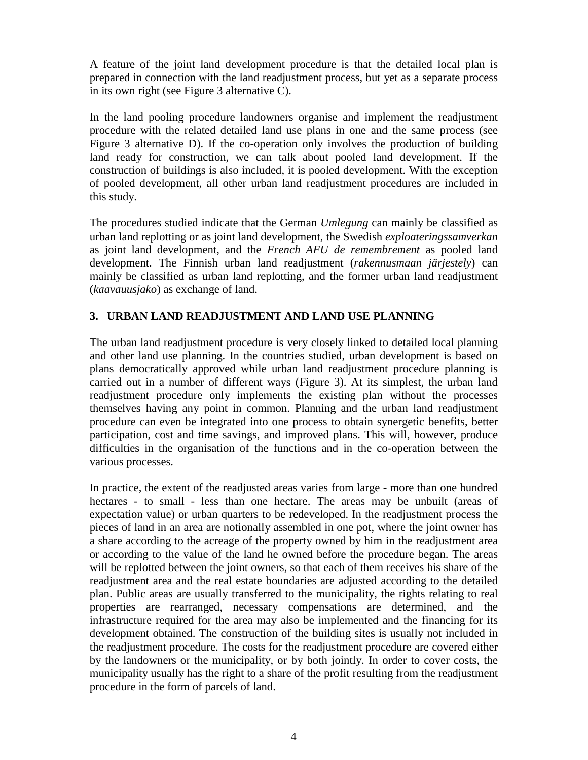A feature of the joint land development procedure is that the detailed local plan is prepared in connection with the land readjustment process, but yet as a separate process in its own right (see Figure 3 alternative C).

In the land pooling procedure landowners organise and implement the readjustment procedure with the related detailed land use plans in one and the same process (see Figure 3 alternative D). If the co-operation only involves the production of building land ready for construction, we can talk about pooled land development. If the construction of buildings is also included, it is pooled development. With the exception of pooled development, all other urban land readjustment procedures are included in this study.

The procedures studied indicate that the German *Umlegung* can mainly be classified as urban land replotting or as joint land development, the Swedish *exploateringssamverkan* as joint land development, and the *French AFU de remembrement* as pooled land development. The Finnish urban land readjustment (*rakennusmaan järjestely*) can mainly be classified as urban land replotting, and the former urban land readjustment (*kaavauusjako*) as exchange of land.

# **3. URBAN LAND READJUSTMENT AND LAND USE PLANNING**

The urban land readjustment procedure is very closely linked to detailed local planning and other land use planning. In the countries studied, urban development is based on plans democratically approved while urban land readjustment procedure planning is carried out in a number of different ways (Figure 3). At its simplest, the urban land readjustment procedure only implements the existing plan without the processes themselves having any point in common. Planning and the urban land readjustment procedure can even be integrated into one process to obtain synergetic benefits, better participation, cost and time savings, and improved plans. This will, however, produce difficulties in the organisation of the functions and in the co-operation between the various processes.

In practice, the extent of the readjusted areas varies from large - more than one hundred hectares - to small - less than one hectare. The areas may be unbuilt (areas of expectation value) or urban quarters to be redeveloped. In the readjustment process the pieces of land in an area are notionally assembled in one pot, where the joint owner has a share according to the acreage of the property owned by him in the readjustment area or according to the value of the land he owned before the procedure began. The areas will be replotted between the joint owners, so that each of them receives his share of the readjustment area and the real estate boundaries are adjusted according to the detailed plan. Public areas are usually transferred to the municipality, the rights relating to real properties are rearranged, necessary compensations are determined, and the infrastructure required for the area may also be implemented and the financing for its development obtained. The construction of the building sites is usually not included in the readjustment procedure. The costs for the readjustment procedure are covered either by the landowners or the municipality, or by both jointly. In order to cover costs, the municipality usually has the right to a share of the profit resulting from the readjustment procedure in the form of parcels of land.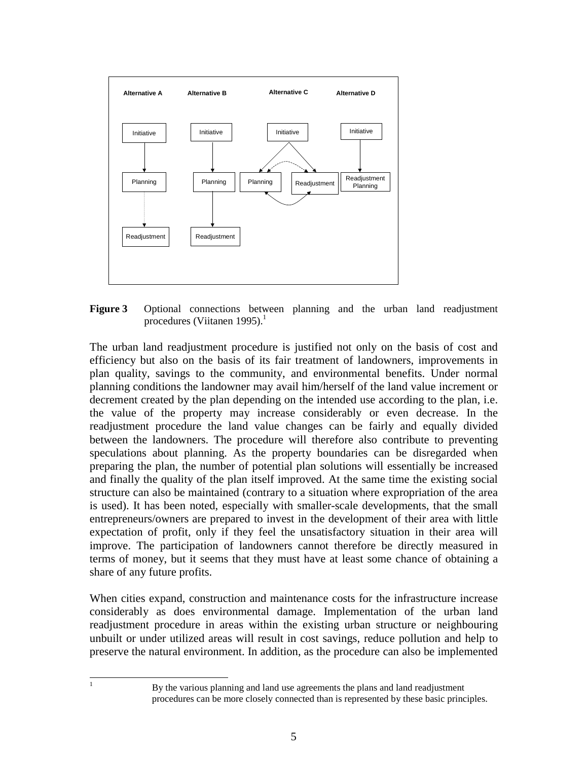

**Figure 3** Optional connections between planning and the urban land readjustment procedures (Viitanen 1995). $<sup>1</sup>$ </sup>

The urban land readjustment procedure is justified not only on the basis of cost and efficiency but also on the basis of its fair treatment of landowners, improvements in plan quality, savings to the community, and environmental benefits. Under normal planning conditions the landowner may avail him/herself of the land value increment or decrement created by the plan depending on the intended use according to the plan, i.e. the value of the property may increase considerably or even decrease. In the readjustment procedure the land value changes can be fairly and equally divided between the landowners. The procedure will therefore also contribute to preventing speculations about planning. As the property boundaries can be disregarded when preparing the plan, the number of potential plan solutions will essentially be increased and finally the quality of the plan itself improved. At the same time the existing social structure can also be maintained (contrary to a situation where expropriation of the area is used). It has been noted, especially with smaller-scale developments, that the small entrepreneurs/owners are prepared to invest in the development of their area with little expectation of profit, only if they feel the unsatisfactory situation in their area will improve. The participation of landowners cannot therefore be directly measured in terms of money, but it seems that they must have at least some chance of obtaining a share of any future profits.

When cities expand, construction and maintenance costs for the infrastructure increase considerably as does environmental damage. Implementation of the urban land readjustment procedure in areas within the existing urban structure or neighbouring unbuilt or under utilized areas will result in cost savings, reduce pollution and help to preserve the natural environment. In addition, as the procedure can also be implemented

l

<sup>1</sup> By the various planning and land use agreements the plans and land readjustment procedures can be more closely connected than is represented by these basic principles.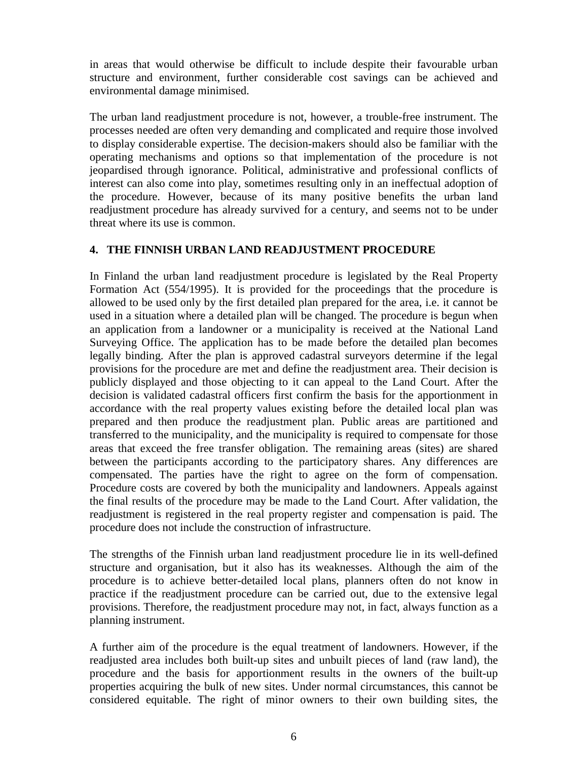in areas that would otherwise be difficult to include despite their favourable urban structure and environment, further considerable cost savings can be achieved and environmental damage minimised.

The urban land readjustment procedure is not, however, a trouble-free instrument. The processes needed are often very demanding and complicated and require those involved to display considerable expertise. The decision-makers should also be familiar with the operating mechanisms and options so that implementation of the procedure is not jeopardised through ignorance. Political, administrative and professional conflicts of interest can also come into play, sometimes resulting only in an ineffectual adoption of the procedure. However, because of its many positive benefits the urban land readjustment procedure has already survived for a century, and seems not to be under threat where its use is common.

## **4. THE FINNISH URBAN LAND READJUSTMENT PROCEDURE**

In Finland the urban land readjustment procedure is legislated by the Real Property Formation Act (554/1995). It is provided for the proceedings that the procedure is allowed to be used only by the first detailed plan prepared for the area, i.e. it cannot be used in a situation where a detailed plan will be changed. The procedure is begun when an application from a landowner or a municipality is received at the National Land Surveying Office. The application has to be made before the detailed plan becomes legally binding. After the plan is approved cadastral surveyors determine if the legal provisions for the procedure are met and define the readjustment area. Their decision is publicly displayed and those objecting to it can appeal to the Land Court. After the decision is validated cadastral officers first confirm the basis for the apportionment in accordance with the real property values existing before the detailed local plan was prepared and then produce the readjustment plan. Public areas are partitioned and transferred to the municipality, and the municipality is required to compensate for those areas that exceed the free transfer obligation. The remaining areas (sites) are shared between the participants according to the participatory shares. Any differences are compensated. The parties have the right to agree on the form of compensation. Procedure costs are covered by both the municipality and landowners. Appeals against the final results of the procedure may be made to the Land Court. After validation, the readjustment is registered in the real property register and compensation is paid. The procedure does not include the construction of infrastructure.

The strengths of the Finnish urban land readjustment procedure lie in its well-defined structure and organisation, but it also has its weaknesses. Although the aim of the procedure is to achieve better-detailed local plans, planners often do not know in practice if the readjustment procedure can be carried out, due to the extensive legal provisions. Therefore, the readjustment procedure may not, in fact, always function as a planning instrument.

A further aim of the procedure is the equal treatment of landowners. However, if the readjusted area includes both built-up sites and unbuilt pieces of land (raw land), the procedure and the basis for apportionment results in the owners of the built-up properties acquiring the bulk of new sites. Under normal circumstances, this cannot be considered equitable. The right of minor owners to their own building sites, the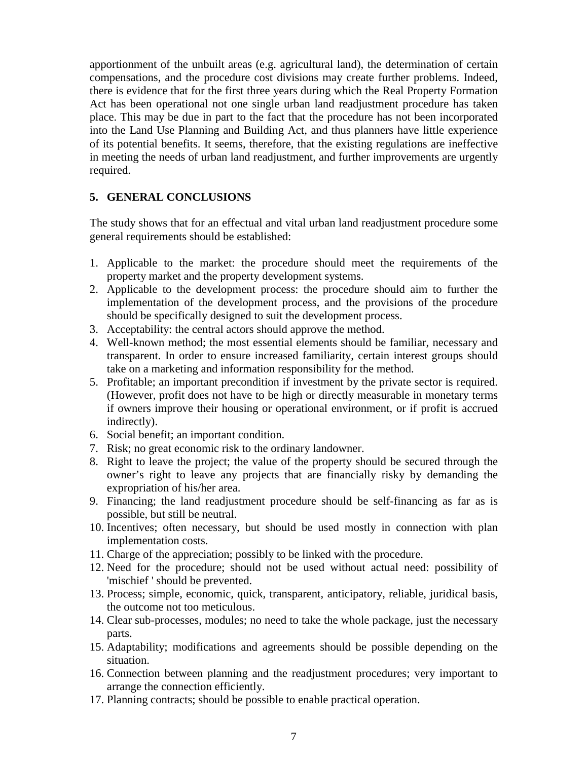apportionment of the unbuilt areas (e.g. agricultural land), the determination of certain compensations, and the procedure cost divisions may create further problems. Indeed, there is evidence that for the first three years during which the Real Property Formation Act has been operational not one single urban land readjustment procedure has taken place. This may be due in part to the fact that the procedure has not been incorporated into the Land Use Planning and Building Act, and thus planners have little experience of its potential benefits. It seems, therefore, that the existing regulations are ineffective in meeting the needs of urban land readjustment, and further improvements are urgently required.

## **5. GENERAL CONCLUSIONS**

The study shows that for an effectual and vital urban land readjustment procedure some general requirements should be established:

- 1. Applicable to the market: the procedure should meet the requirements of the property market and the property development systems.
- 2. Applicable to the development process: the procedure should aim to further the implementation of the development process, and the provisions of the procedure should be specifically designed to suit the development process.
- 3. Acceptability: the central actors should approve the method.
- 4. Well-known method; the most essential elements should be familiar, necessary and transparent. In order to ensure increased familiarity, certain interest groups should take on a marketing and information responsibility for the method.
- 5. Profitable; an important precondition if investment by the private sector is required. (However, profit does not have to be high or directly measurable in monetary terms if owners improve their housing or operational environment, or if profit is accrued indirectly).
- 6. Social benefit; an important condition.
- 7. Risk; no great economic risk to the ordinary landowner.
- 8. Right to leave the project; the value of the property should be secured through the owner's right to leave any projects that are financially risky by demanding the expropriation of his/her area.
- 9. Financing; the land readjustment procedure should be self-financing as far as is possible, but still be neutral.
- 10. Incentives; often necessary, but should be used mostly in connection with plan implementation costs.
- 11. Charge of the appreciation; possibly to be linked with the procedure.
- 12. Need for the procedure; should not be used without actual need: possibility of 'mischief ' should be prevented.
- 13. Process; simple, economic, quick, transparent, anticipatory, reliable, juridical basis, the outcome not too meticulous.
- 14. Clear sub-processes, modules; no need to take the whole package, just the necessary parts.
- 15. Adaptability; modifications and agreements should be possible depending on the situation.
- 16. Connection between planning and the readjustment procedures; very important to arrange the connection efficiently.
- 17. Planning contracts; should be possible to enable practical operation.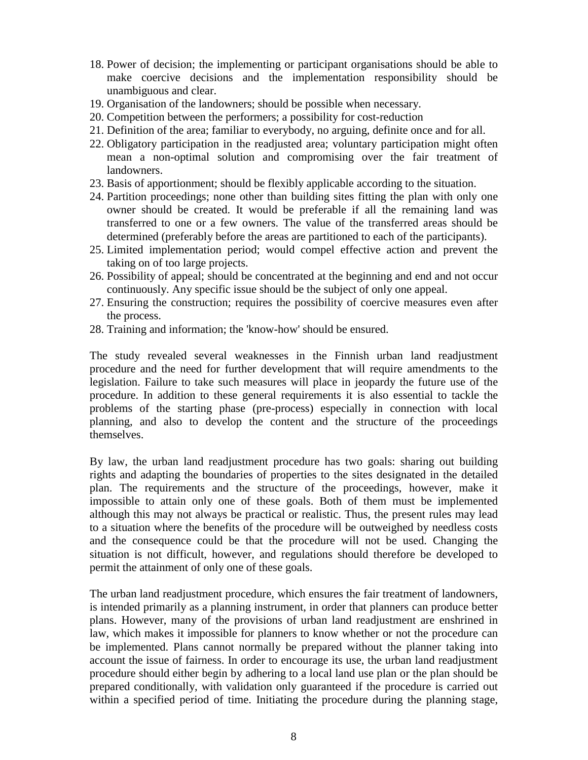- 18. Power of decision; the implementing or participant organisations should be able to make coercive decisions and the implementation responsibility should be unambiguous and clear.
- 19. Organisation of the landowners; should be possible when necessary.
- 20. Competition between the performers; a possibility for cost-reduction
- 21. Definition of the area; familiar to everybody, no arguing, definite once and for all.
- 22. Obligatory participation in the readjusted area; voluntary participation might often mean a non-optimal solution and compromising over the fair treatment of landowners.
- 23. Basis of apportionment; should be flexibly applicable according to the situation.
- 24. Partition proceedings; none other than building sites fitting the plan with only one owner should be created. It would be preferable if all the remaining land was transferred to one or a few owners. The value of the transferred areas should be determined (preferably before the areas are partitioned to each of the participants).
- 25. Limited implementation period; would compel effective action and prevent the taking on of too large projects.
- 26. Possibility of appeal; should be concentrated at the beginning and end and not occur continuously. Any specific issue should be the subject of only one appeal.
- 27. Ensuring the construction; requires the possibility of coercive measures even after the process.
- 28. Training and information; the 'know-how' should be ensured.

The study revealed several weaknesses in the Finnish urban land readjustment procedure and the need for further development that will require amendments to the legislation. Failure to take such measures will place in jeopardy the future use of the procedure. In addition to these general requirements it is also essential to tackle the problems of the starting phase (pre-process) especially in connection with local planning, and also to develop the content and the structure of the proceedings themselves.

By law, the urban land readjustment procedure has two goals: sharing out building rights and adapting the boundaries of properties to the sites designated in the detailed plan. The requirements and the structure of the proceedings, however, make it impossible to attain only one of these goals. Both of them must be implemented although this may not always be practical or realistic. Thus, the present rules may lead to a situation where the benefits of the procedure will be outweighed by needless costs and the consequence could be that the procedure will not be used. Changing the situation is not difficult, however, and regulations should therefore be developed to permit the attainment of only one of these goals.

The urban land readjustment procedure, which ensures the fair treatment of landowners, is intended primarily as a planning instrument, in order that planners can produce better plans. However, many of the provisions of urban land readjustment are enshrined in law, which makes it impossible for planners to know whether or not the procedure can be implemented. Plans cannot normally be prepared without the planner taking into account the issue of fairness. In order to encourage its use, the urban land readjustment procedure should either begin by adhering to a local land use plan or the plan should be prepared conditionally, with validation only guaranteed if the procedure is carried out within a specified period of time. Initiating the procedure during the planning stage,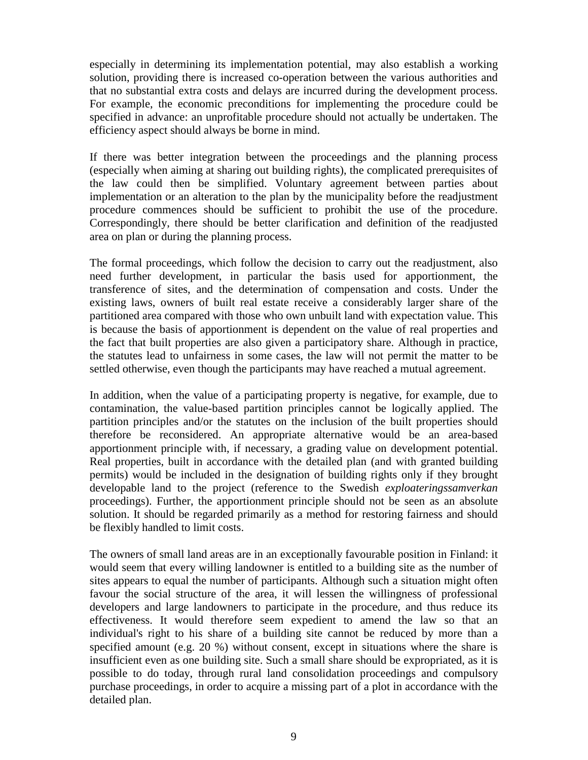especially in determining its implementation potential, may also establish a working solution, providing there is increased co-operation between the various authorities and that no substantial extra costs and delays are incurred during the development process. For example, the economic preconditions for implementing the procedure could be specified in advance: an unprofitable procedure should not actually be undertaken. The efficiency aspect should always be borne in mind.

If there was better integration between the proceedings and the planning process (especially when aiming at sharing out building rights), the complicated prerequisites of the law could then be simplified. Voluntary agreement between parties about implementation or an alteration to the plan by the municipality before the readjustment procedure commences should be sufficient to prohibit the use of the procedure. Correspondingly, there should be better clarification and definition of the readjusted area on plan or during the planning process.

The formal proceedings, which follow the decision to carry out the readjustment, also need further development, in particular the basis used for apportionment, the transference of sites, and the determination of compensation and costs. Under the existing laws, owners of built real estate receive a considerably larger share of the partitioned area compared with those who own unbuilt land with expectation value. This is because the basis of apportionment is dependent on the value of real properties and the fact that built properties are also given a participatory share. Although in practice, the statutes lead to unfairness in some cases, the law will not permit the matter to be settled otherwise, even though the participants may have reached a mutual agreement.

In addition, when the value of a participating property is negative, for example, due to contamination, the value-based partition principles cannot be logically applied. The partition principles and/or the statutes on the inclusion of the built properties should therefore be reconsidered. An appropriate alternative would be an area-based apportionment principle with, if necessary, a grading value on development potential. Real properties, built in accordance with the detailed plan (and with granted building permits) would be included in the designation of building rights only if they brought developable land to the project (reference to the Swedish *exploateringssamverkan* proceedings). Further, the apportionment principle should not be seen as an absolute solution. It should be regarded primarily as a method for restoring fairness and should be flexibly handled to limit costs.

The owners of small land areas are in an exceptionally favourable position in Finland: it would seem that every willing landowner is entitled to a building site as the number of sites appears to equal the number of participants. Although such a situation might often favour the social structure of the area, it will lessen the willingness of professional developers and large landowners to participate in the procedure, and thus reduce its effectiveness. It would therefore seem expedient to amend the law so that an individual's right to his share of a building site cannot be reduced by more than a specified amount (e.g. 20 %) without consent, except in situations where the share is insufficient even as one building site. Such a small share should be expropriated, as it is possible to do today, through rural land consolidation proceedings and compulsory purchase proceedings, in order to acquire a missing part of a plot in accordance with the detailed plan.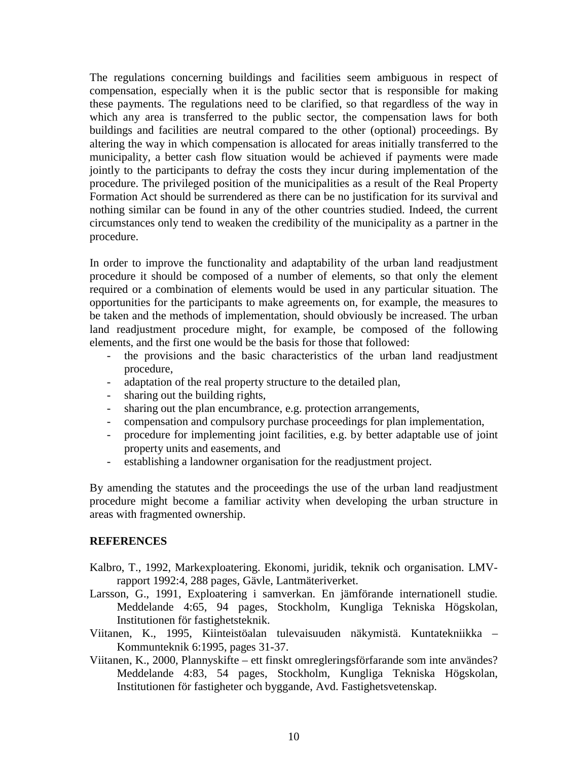The regulations concerning buildings and facilities seem ambiguous in respect of compensation, especially when it is the public sector that is responsible for making these payments. The regulations need to be clarified, so that regardless of the way in which any area is transferred to the public sector, the compensation laws for both buildings and facilities are neutral compared to the other (optional) proceedings. By altering the way in which compensation is allocated for areas initially transferred to the municipality, a better cash flow situation would be achieved if payments were made jointly to the participants to defray the costs they incur during implementation of the procedure. The privileged position of the municipalities as a result of the Real Property Formation Act should be surrendered as there can be no justification for its survival and nothing similar can be found in any of the other countries studied. Indeed, the current circumstances only tend to weaken the credibility of the municipality as a partner in the procedure.

In order to improve the functionality and adaptability of the urban land readjustment procedure it should be composed of a number of elements, so that only the element required or a combination of elements would be used in any particular situation. The opportunities for the participants to make agreements on, for example, the measures to be taken and the methods of implementation, should obviously be increased. The urban land readjustment procedure might, for example, be composed of the following elements, and the first one would be the basis for those that followed:

- the provisions and the basic characteristics of the urban land readjustment procedure,
- adaptation of the real property structure to the detailed plan,
- sharing out the building rights,
- sharing out the plan encumbrance, e.g. protection arrangements,
- compensation and compulsory purchase proceedings for plan implementation,
- procedure for implementing joint facilities, e.g. by better adaptable use of joint property units and easements, and
- establishing a landowner organisation for the readjustment project.

By amending the statutes and the proceedings the use of the urban land readjustment procedure might become a familiar activity when developing the urban structure in areas with fragmented ownership.

#### **REFERENCES**

- Kalbro, T., 1992, Markexploatering. Ekonomi, juridik, teknik och organisation. LMVrapport 1992:4, 288 pages, Gävle, Lantmäteriverket.
- Larsson, G., 1991, Exploatering i samverkan. En jämförande internationell studie*.* Meddelande 4:65, 94 pages, Stockholm, Kungliga Tekniska Högskolan, Institutionen för fastighetsteknik.
- Viitanen, K., 1995, Kiinteistöalan tulevaisuuden näkymistä. Kuntatekniikka Kommunteknik 6:1995, pages 31-37.
- Viitanen, K., 2000, Plannyskifte ett finskt omregleringsförfarande som inte användes? Meddelande 4:83, 54 pages, Stockholm, Kungliga Tekniska Högskolan, Institutionen för fastigheter och byggande, Avd. Fastighetsvetenskap.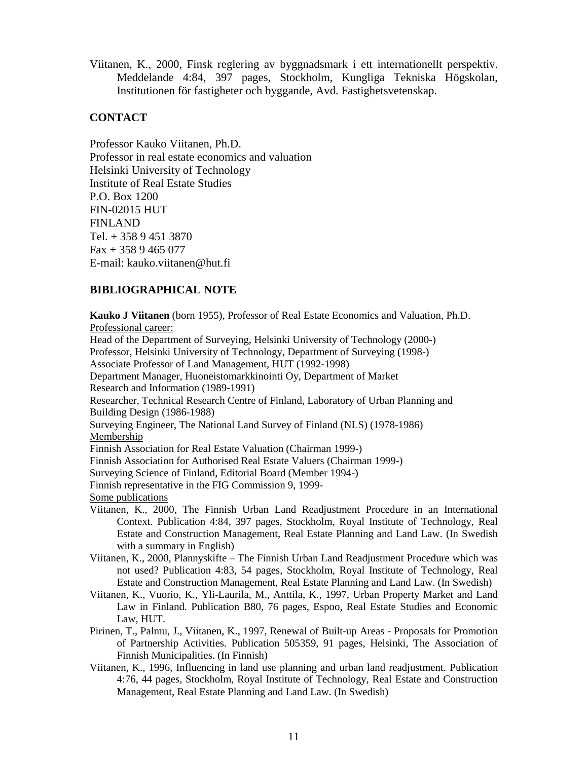Viitanen, K., 2000, Finsk reglering av byggnadsmark i ett internationellt perspektiv. Meddelande 4:84, 397 pages, Stockholm, Kungliga Tekniska Högskolan, Institutionen för fastigheter och byggande, Avd. Fastighetsvetenskap.

#### **CONTACT**

Professor Kauko Viitanen, Ph.D. Professor in real estate economics and valuation Helsinki University of Technology Institute of Real Estate Studies P.O. Box 1200 FIN-02015 HUT FINLAND Tel. + 358 9 451 3870  $Fax + 3589465077$ E-mail: kauko.viitanen@hut.fi

## **BIBLIOGRAPHICAL NOTE**

**Kauko J Viitanen** (born 1955), Professor of Real Estate Economics and Valuation, Ph.D. Professional career: Head of the Department of Surveying, Helsinki University of Technology (2000-) Professor, Helsinki University of Technology, Department of Surveying (1998-) Associate Professor of Land Management, HUT (1992-1998) Department Manager, Huoneistomarkkinointi Oy, Department of Market Research and Information (1989-1991) Researcher, Technical Research Centre of Finland, Laboratory of Urban Planning and Building Design (1986-1988) Surveying Engineer, The National Land Survey of Finland (NLS) (1978-1986) Membership Finnish Association for Real Estate Valuation (Chairman 1999-) Finnish Association for Authorised Real Estate Valuers (Chairman 1999-) Surveying Science of Finland, Editorial Board (Member 1994-) Finnish representative in the FIG Commission 9, 1999- Some publications Viitanen, K., 2000, The Finnish Urban Land Readjustment Procedure in an International Context. Publication 4:84, 397 pages, Stockholm, Royal Institute of Technology, Real Estate and Construction Management, Real Estate Planning and Land Law. (In Swedish with a summary in English) Viitanen, K., 2000, Plannyskifte – The Finnish Urban Land Readjustment Procedure which was not used? Publication 4:83, 54 pages, Stockholm, Royal Institute of Technology, Real Estate and Construction Management, Real Estate Planning and Land Law. (In Swedish) Viitanen, K., Vuorio, K., Yli-Laurila, M., Anttila, K., 1997, Urban Property Market and Land Law in Finland. Publication B80, 76 pages, Espoo, Real Estate Studies and Economic Law, HUT.

- Pirinen, T., Palmu, J., Viitanen, K., 1997, Renewal of Built-up Areas Proposals for Promotion of Partnership Activities. Publication 505359, 91 pages, Helsinki, The Association of Finnish Municipalities. (In Finnish)
- Viitanen, K., 1996, Influencing in land use planning and urban land readjustment. Publication 4:76, 44 pages, Stockholm, Royal Institute of Technology, Real Estate and Construction Management, Real Estate Planning and Land Law. (In Swedish)